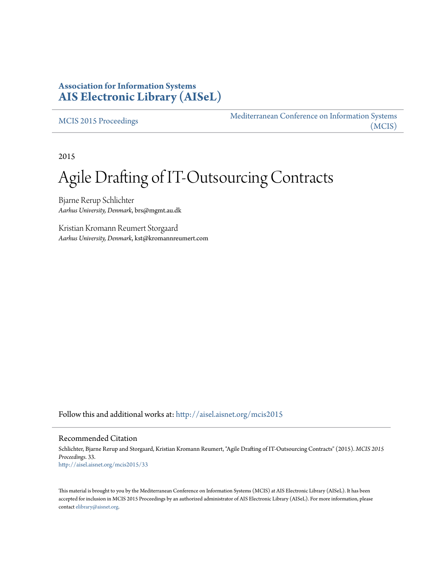## **Association for Information Systems [AIS Electronic Library \(AISeL\)](http://aisel.aisnet.org?utm_source=aisel.aisnet.org%2Fmcis2015%2F33&utm_medium=PDF&utm_campaign=PDFCoverPages)**

[MCIS 2015 Proceedings](http://aisel.aisnet.org/mcis2015?utm_source=aisel.aisnet.org%2Fmcis2015%2F33&utm_medium=PDF&utm_campaign=PDFCoverPages)

[Mediterranean Conference on Information Systems](http://aisel.aisnet.org/mcis?utm_source=aisel.aisnet.org%2Fmcis2015%2F33&utm_medium=PDF&utm_campaign=PDFCoverPages) [\(MCIS\)](http://aisel.aisnet.org/mcis?utm_source=aisel.aisnet.org%2Fmcis2015%2F33&utm_medium=PDF&utm_campaign=PDFCoverPages)

2015

# Agile Drafting of IT-Outsourcing Contracts

Bjarne Rerup Schlichter *Aarhus University, Denmark*, brs@mgmt.au.dk

Kristian Kromann Reumert Storgaard *Aarhus University, Denmark*, kst@kromannreumert.com

Follow this and additional works at: [http://aisel.aisnet.org/mcis2015](http://aisel.aisnet.org/mcis2015?utm_source=aisel.aisnet.org%2Fmcis2015%2F33&utm_medium=PDF&utm_campaign=PDFCoverPages)

#### Recommended Citation

Schlichter, Bjarne Rerup and Storgaard, Kristian Kromann Reumert, "Agile Drafting of IT-Outsourcing Contracts" (2015). *MCIS 2015 Proceedings*. 33. [http://aisel.aisnet.org/mcis2015/33](http://aisel.aisnet.org/mcis2015/33?utm_source=aisel.aisnet.org%2Fmcis2015%2F33&utm_medium=PDF&utm_campaign=PDFCoverPages)

This material is brought to you by the Mediterranean Conference on Information Systems (MCIS) at AIS Electronic Library (AISeL). It has been accepted for inclusion in MCIS 2015 Proceedings by an authorized administrator of AIS Electronic Library (AISeL). For more information, please contact [elibrary@aisnet.org.](mailto:elibrary@aisnet.org%3E)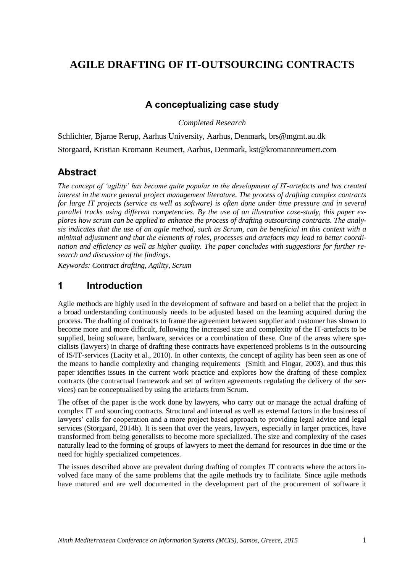# **AGILE DRAFTING OF IT-OUTSOURCING CONTRACTS**

## **A conceptualizing case study**

*Completed Research*

Schlichter, Bjarne Rerup, Aarhus University, Aarhus, Denmark, brs@mgmt.au.dk Storgaard, Kristian Kromann Reumert, Aarhus, Denmark, kst@kromannreumert.com

## **Abstract**

*The concept of 'agility' has become quite popular in the development of IT-artefacts and has created interest in the more general project management literature. The process of drafting complex contracts for large IT projects (service as well as software) is often done under time pressure and in several parallel tracks using different competencies. By the use of an illustrative case-study, this paper explores how scrum can be applied to enhance the process of drafting outsourcing contracts. The analysis indicates that the use of an agile method, such as Scrum, can be beneficial in this context with a minimal adjustment and that the elements of roles, processes and artefacts may lead to better coordination and efficiency as well as higher quality. The paper concludes with suggestions for further research and discussion of the findings.*

*Keywords: Contract drafting, Agility, Scrum*

## **1 Introduction**

Agile methods are highly used in the development of software and based on a belief that the project in a broad understanding continuously needs to be adjusted based on the learning acquired during the process. The drafting of contracts to frame the agreement between supplier and customer has shown to become more and more difficult, following the increased size and complexity of the IT-artefacts to be supplied, being software, hardware, services or a combination of these. One of the areas where specialists (lawyers) in charge of drafting these contracts have experienced problems is in the outsourcing of IS/IT-services [\(Lacity et al., 2010\)](#page-10-0). In other contexts, the concept of agility has been seen as one of the means to handle complexity and changing requirements [\(Smith and Fingar, 2003\)](#page-10-1), and thus this paper identifies issues in the current work practice and explores how the drafting of these complex contracts (the contractual framework and set of written agreements regulating the delivery of the services) can be conceptualised by using the artefacts from Scrum.

The offset of the paper is the work done by lawyers, who carry out or manage the actual drafting of complex IT and sourcing contracts. Structural and internal as well as external factors in the business of lawyers' calls for cooperation and a more project based approach to providing legal advice and legal services [\(Storgaard, 2014b\)](#page-10-2). It is seen that over the years, lawyers, especially in larger practices, have transformed from being generalists to become more specialized. The size and complexity of the cases naturally lead to the forming of groups of lawyers to meet the demand for resources in due time or the need for highly specialized competences.

The issues described above are prevalent during drafting of complex IT contracts where the actors involved face many of the same problems that the agile methods try to facilitate. Since agile methods have matured and are well documented in the development part of the procurement of software it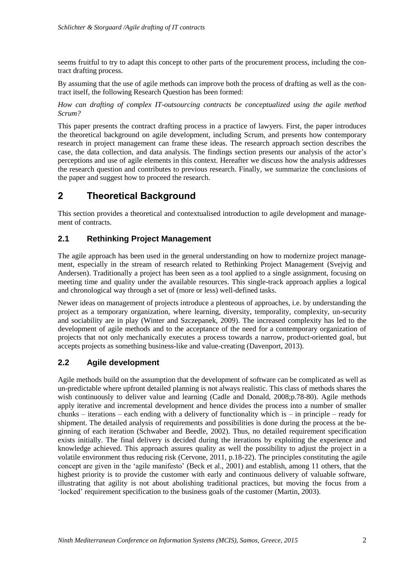seems fruitful to try to adapt this concept to other parts of the procurement process, including the contract drafting process.

By assuming that the use of agile methods can improve both the process of drafting as well as the contract itself, the following Research Question has been formed:

*How can drafting of complex IT-outsourcing contracts be conceptualized using the agile method Scrum?*

This paper presents the contract drafting process in a practice of lawyers. First, the paper introduces the theoretical background on agile development, including Scrum, and presents how contemporary research in project management can frame these ideas. The research approach section describes the case, the data collection, and data analysis. The findings section presents our analysis of the actor's perceptions and use of agile elements in this context. Hereafter we discuss how the analysis addresses the research question and contributes to previous research. Finally, we summarize the conclusions of the paper and suggest how to proceed the research.

# **2 Theoretical Background**

This section provides a theoretical and contextualised introduction to agile development and management of contracts.

## **2.1 Rethinking Project Management**

The agile approach has been used in the general understanding on how to modernize project management, especially in the stream of research related to Rethinking Project Management [\(Svejvig and](#page-11-0)  [Andersen\)](#page-11-0). Traditionally a project has been seen as a tool applied to a single assignment, focusing on meeting time and quality under the available resources. This single-track approach applies a logical and chronological way through a set of (more or less) well-defined tasks.

Newer ideas on management of projects introduce a plenteous of approaches, i.e. by understanding the project as a temporary organization, where learning, diversity, temporality, complexity, un-security and sociability are in play [\(Winter and Szczepanek, 2009\)](#page-11-1). The increased complexity has led to the development of agile methods and to the acceptance of the need for a contemporary organization of projects that not only mechanically executes a process towards a narrow, product-oriented goal, but accepts projects as something business-like and value-creating [\(Davenport, 2013\)](#page-10-3).

## **2.2 Agile development**

Agile methods build on the assumption that the development of software can be complicated as well as un-predictable where upfront detailed planning is not always realistic. This class of methods shares the wish continuously to deliver value and learning [\(Cadle and Donald, 2008;p.78-80\)](#page-10-4). Agile methods apply iterative and incremental development and hence divides the process into a number of smaller chunks – iterations – each ending with a delivery of functionality which is – in principle – ready for shipment. The detailed analysis of requirements and possibilities is done during the process at the beginning of each iteration [\(Schwaber and Beedle, 2002\)](#page-10-5). Thus, no detailed requirement specification exists initially. The final delivery is decided during the iterations by exploiting the experience and knowledge achieved. This approach assures quality as well the possibility to adjust the project in a volatile environment thus reducing risk [\(Cervone, 2011, p.18-22\)](#page-10-6). The principles constituting the agile concept are given in the 'agile manifesto' [\(Beck et al., 2001\)](#page-10-7) and establish, among 11 others, that the highest priority is to provide the customer with early and continuous delivery of valuable software, illustrating that agility is not about abolishing traditional practices, but moving the focus from a 'locked' requirement specification to the business goals of the customer [\(Martin, 2003\)](#page-10-8).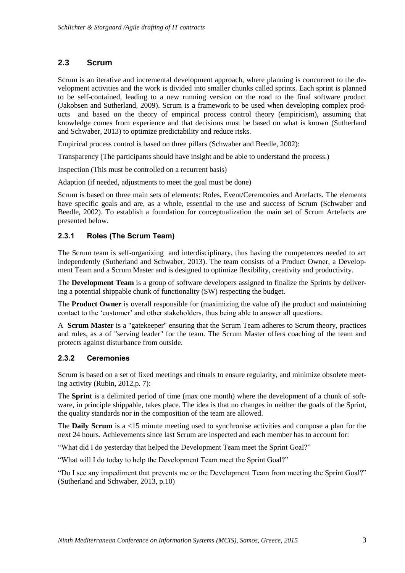## **2.3 Scrum**

Scrum is an iterative and incremental development approach, where planning is concurrent to the development activities and the work is divided into smaller chunks called sprints. Each sprint is planned to be self-contained, leading to a new running version on the road to the final software product [\(Jakobsen and Sutherland, 2009\)](#page-10-9). Scrum is a framework to be used when developing complex products and based on the theory of empirical process control theory (empiricism), assuming that knowledge comes from experience and that decisions must be based on what is known [\(Sutherland](#page-10-10)  [and Schwaber, 2013\)](#page-10-10) to optimize predictability and reduce risks.

Empirical process control is based on three pillars [\(Schwaber and Beedle, 2002\)](#page-10-5):

Transparency (The participants should have insight and be able to understand the process.)

Inspection (This must be controlled on a recurrent basis)

Adaption (if needed, adjustments to meet the goal must be done)

Scrum is based on three main sets of elements: Roles, Event/Ceremonies and Artefacts. The elements have specific goals and are, as a whole, essential to the use and success of Scrum [\(Schwaber and](#page-10-5)  [Beedle, 2002\)](#page-10-5). To establish a foundation for conceptualization the main set of Scrum Artefacts are presented below.

#### **2.3.1 Roles (The Scrum Team)**

The Scrum team is self-organizing and interdisciplinary, thus having the competences needed to act independently [\(Sutherland and Schwaber, 2013\)](#page-10-10). The team consists of a Product Owner, a Development Team and a Scrum Master and is designed to optimize flexibility, creativity and productivity.

The **Development Team** is a group of software developers assigned to finalize the Sprints by delivering a potential shippable chunk of functionality (SW) respecting the budget.

The **Product Owner** is overall responsible for (maximizing the value of) the product and maintaining contact to the 'customer' and other stakeholders, thus being able to answer all questions.

A **Scrum Master** is a "gatekeeper" ensuring that the Scrum Team adheres to Scrum theory, practices and rules, as a of "serving leader" for the team. The Scrum Master offers coaching of the team and protects against disturbance from outside.

#### **2.3.2 Ceremonies**

Scrum is based on a set of fixed meetings and rituals to ensure regularity, and minimize obsolete meeting activity [\(Rubin, 2012,p. 7\)](#page-10-11):

The **Sprint** is a delimited period of time (max one month) where the development of a chunk of software, in principle shippable, takes place. The idea is that no changes in neither the goals of the Sprint, the quality standards nor in the composition of the team are allowed.

The **Daily Scrum** is a <15 minute meeting used to synchronise activities and compose a plan for the next 24 hours. Achievements since last Scrum are inspected and each member has to account for:

"What did I do yesterday that helped the Development Team meet the Sprint Goal?"

"What will I do today to help the Development Team meet the Sprint Goal?"

"Do I see any impediment that prevents me or the Development Team from meeting the Sprint Goal?" [\(Sutherland and Schwaber, 2013, p.10\)](#page-10-10)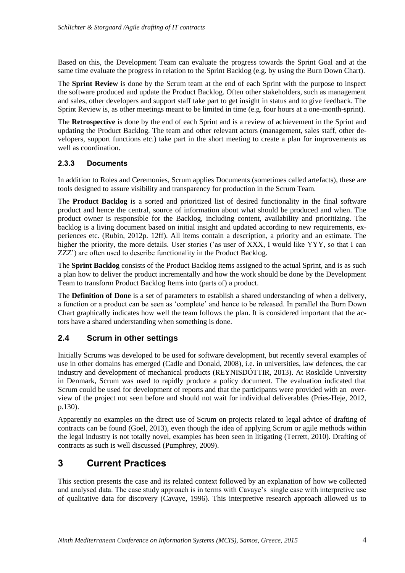Based on this, the Development Team can evaluate the progress towards the Sprint Goal and at the same time evaluate the progress in relation to the Sprint Backlog (e.g. by using the Burn Down Chart).

The **Sprint Review** is done by the Scrum team at the end of each Sprint with the purpose to inspect the software produced and update the Product Backlog. Often other stakeholders, such as management and sales, other developers and support staff take part to get insight in status and to give feedback. The Sprint Review is, as other meetings meant to be limited in time (e.g. four hours at a one-month-sprint).

The **Retrospective** is done by the end of each Sprint and is a review of achievement in the Sprint and updating the Product Backlog. The team and other relevant actors (management, sales staff, other developers, support functions etc.) take part in the short meeting to create a plan for improvements as well as coordination.

#### **2.3.3 Documents**

In addition to Roles and Ceremonies, Scrum applies Documents (sometimes called artefacts), these are tools designed to assure visibility and transparency for production in the Scrum Team.

The **Product Backlog** is a sorted and prioritized list of desired functionality in the final software product and hence the central, source of information about what should be produced and when. The product owner is responsible for the Backlog, including content, availability and prioritizing. The backlog is a living document based on initial insight and updated according to new requirements, experiences etc. [\(Rubin, 2012p. 12ff\)](#page-10-11). All items contain a description, a priority and an estimate. The higher the priority, the more details. User stories ('as user of XXX, I would like YYY, so that I can ZZZ') are often used to describe functionality in the Product Backlog.

The **Sprint Backlog** consists of the Product Backlog items assigned to the actual Sprint, and is as such a plan how to deliver the product incrementally and how the work should be done by the Development Team to transform Product Backlog Items into (parts of) a product.

The **Definition of Done** is a set of parameters to establish a shared understanding of when a delivery, a function or a product can be seen as 'complete' and hence to be released. In parallel the Burn Down Chart graphically indicates how well the team follows the plan. It is considered important that the actors have a shared understanding when something is done.

#### **2.4 Scrum in other settings**

Initially Scrums was developed to be used for software development, but recently several examples of use in other domains has emerged [\(Cadle and Donald, 2008\)](#page-10-4), i.e. in universities, law defences, the car industry and development of mechanical products [\(REYNISDÓTTIR, 2013\)](#page-10-12). At Roskilde University in Denmark, Scrum was used to rapidly produce a policy document. The evaluation indicated that Scrum could be used for development of reports and that the participants were provided with an overview of the project not seen before and should not wait for individual deliverables [\(Pries-Heje, 2012,](#page-10-13)  [p.130\)](#page-10-13).

Apparently no examples on the direct use of Scrum on projects related to legal advice of drafting of contracts can be found [\(Goel, 2013\)](#page-10-14), even though the idea of applying Scrum or agile methods within the legal industry is not totally novel, examples has been seen in litigating [\(Terrett, 2010\)](#page-11-2). Drafting of contracts as such is well discussed [\(Pumphrey, 2009\)](#page-10-15).

## **3 Current Practices**

This section presents the case and its related context followed by an explanation of how we collected and analysed data. The case study approach is in terms with Cavaye's single case with interpretive use of qualitative data for discovery [\(Cavaye, 1996\)](#page-10-16). This interpretive research approach allowed us to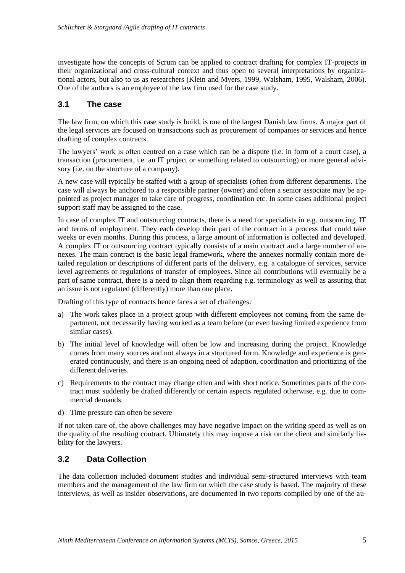investigate how the concepts of Scrum can be applied to contract drafting for complex IT-projects in their organizational and cross-cultural context and thus open to several interpretations by organizational actors, but also to us as researchers [\(Klein and Myers, 1999,](#page-10-17) [Walsham, 1995,](#page-11-3) [Walsham, 2006\)](#page-11-4). One of the authors is an employee of the law firm used for the case study.

#### **3.1 The case**

The law firm, on which this case study is build, is one of the largest Danish law firms. A major part of the legal services are focused on transactions such as procurement of companies or services and hence drafting of complex contracts.

The lawyers' work is often centred on a case which can be a dispute (i.e. in form of a court case), a transaction (procurement, i.e. an IT project or something related to outsourcing) or more general advisory (i.e. on the structure of a company).

A new case will typically be staffed with a group of specialists (often from different departments. The case will always be anchored to a responsible partner (owner) and often a senior associate may be appointed as project manager to take care of progress, coordination etc. In some cases additional project support staff may be assigned to the case.

In case of complex IT and outsourcing contracts, there is a need for specialists in e.g. outsourcing, IT and terms of employment. They each develop their part of the contract in a process that could take weeks or even months. During this process, a large amount of information is collected and developed. A complex IT or outsourcing contract typically consists of a main contract and a large number of annexes. The main contract is the basic legal framework, where the annexes normally contain more detailed regulation or descriptions of different parts of the delivery, e.g. a catalogue of services, service level agreements or regulations of transfer of employees. Since all contributions will eventually be a part of same contract, there is a need to align them regarding e.g. terminology as well as assuring that an issue is not regulated (differently) more than one place.

Drafting of this type of contracts hence faces a set of challenges:

- a) The work takes place in a project group with different employees not coming from the same department, not necessarily having worked as a team before (or even having limited experience from similar cases).
- b) The initial level of knowledge will often be low and increasing during the project. Knowledge comes from many sources and not always in a structured form. Knowledge and experience is generated continuously, and there is an ongoing need of adaption, coordination and prioritizing of the different deliveries.
- c) Requirements to the contract may change often and with short notice. Sometimes parts of the contract must suddenly be drafted differently or certain aspects regulated otherwise, e.g. due to commercial demands.
- d) Time pressure can often be severe

If not taken care of, the above challenges may have negative impact on the writing speed as well as on the quality of the resulting contract. Ultimately this may impose a risk on the client and similarly liability for the lawyers.

#### **3.2 Data Collection**

The data collection included document studies and individual semi-structured interviews with team members and the management of the law firm on which the case study is based*.* The majority of these interviews, as well as insider observations, are documented in two reports compiled by one of the au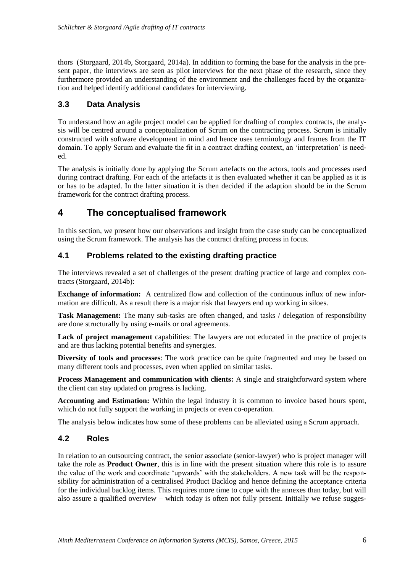thors [\(Storgaard, 2014b,](#page-10-2) [Storgaard, 2014a\)](#page-10-18). In addition to forming the base for the analysis in the present paper, the interviews are seen as pilot interviews for the next phase of the research, since they furthermore provided an understanding of the environment and the challenges faced by the organization and helped identify additional candidates for interviewing.

## **3.3 Data Analysis**

To understand how an agile project model can be applied for drafting of complex contracts, the analysis will be centred around a conceptualization of Scrum on the contracting process. Scrum is initially constructed with software development in mind and hence uses terminology and frames from the IT domain. To apply Scrum and evaluate the fit in a contract drafting context, an 'interpretation' is needed.

The analysis is initially done by applying the Scrum artefacts on the actors, tools and processes used during contract drafting. For each of the artefacts it is then evaluated whether it can be applied as it is or has to be adapted. In the latter situation it is then decided if the adaption should be in the Scrum framework for the contract drafting process.

## **4 The conceptualised framework**

In this section, we present how our observations and insight from the case study can be conceptualized using the Scrum framework. The analysis has the contract drafting process in focus.

## **4.1 Problems related to the existing drafting practice**

The interviews revealed a set of challenges of the present drafting practice of large and complex contracts [\(Storgaard, 2014b\)](#page-10-2):

**Exchange of information:** A centralized flow and collection of the continuous influx of new information are difficult. As a result there is a major risk that lawyers end up working in siloes.

**Task Management:** The many sub-tasks are often changed, and tasks / delegation of responsibility are done structurally by using e-mails or oral agreements.

Lack of project management capabilities: The lawyers are not educated in the practice of projects and are thus lacking potential benefits and synergies.

**Diversity of tools and processes**: The work practice can be quite fragmented and may be based on many different tools and processes, even when applied on similar tasks.

**Process Management and communication with clients:** A single and straightforward system where the client can stay updated on progress is lacking.

**Accounting and Estimation:** Within the legal industry it is common to invoice based hours spent, which do not fully support the working in projects or even co-operation.

The analysis below indicates how some of these problems can be alleviated using a Scrum approach.

#### **4.2 Roles**

In relation to an outsourcing contract, the senior associate (senior-lawyer) who is project manager will take the role as **Product Owner**, this is in line with the present situation where this role is to assure the value of the work and coordinate 'upwards' with the stakeholders. A new task will be the responsibility for administration of a centralised Product Backlog and hence defining the acceptance criteria for the individual backlog items. This requires more time to cope with the annexes than today, but will also assure a qualified overview – which today is often not fully present. Initially we refuse sugges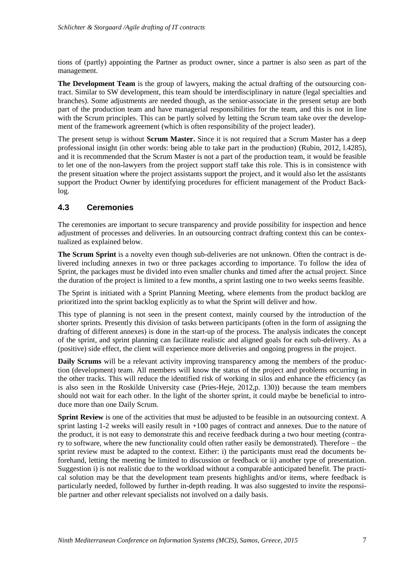tions of (partly) appointing the Partner as product owner, since a partner is also seen as part of the management.

**The Development Team** is the group of lawyers, making the actual drafting of the outsourcing contract. Similar to SW development, this team should be interdisciplinary in nature (legal specialties and branches). Some adjustments are needed though, as the senior-associate in the present setup are both part of the production team and have managerial responsibilities for the team, and this is not in line with the Scrum principles. This can be partly solved by letting the Scrum team take over the development of the framework agreement (which is often responsibility of the project leader).

The present setup is without **Scrum Master.** Since it is not required that a Scrum Master has a deep professional insight (in other words: being able to take part in the production) [\(Rubin, 2012, l.4285\)](#page-10-11), and it is recommended that the Scrum Master is not a part of the production team, it would be feasible to let one of the non-lawyers from the project support staff take this role. This is in consistence with the present situation where the project assistants support the project, and it would also let the assistants support the Product Owner by identifying procedures for efficient management of the Product Backlog.

## **4.3 Ceremonies**

The ceremonies are important to secure transparency and provide possibility for inspection and hence adjustment of processes and deliveries. In an outsourcing contract drafting context this can be contextualized as explained below.

**The Scrum Sprint** is a novelty even though sub-deliveries are not unknown. Often the contract is delivered including annexes in two or three packages according to importance. To follow the idea of Sprint, the packages must be divided into even smaller chunks and timed after the actual project. Since the duration of the project is limited to a few months, a sprint lasting one to two weeks seems feasible.

The Sprint is initiated with a Sprint Planning Meeting, where elements from the product backlog are prioritized into the sprint backlog explicitly as to what the Sprint will deliver and how.

This type of planning is not seen in the present context, mainly coursed by the introduction of the shorter sprints. Presently this division of tasks between participants (often in the form of assigning the drafting of different annexes) is done in the start-up of the process. The analysis indicates the concept of the sprint, and sprint planning can facilitate realistic and aligned goals for each sub-delivery. As a (positive) side effect, the client will experience more deliveries and ongoing progress in the project.

**Daily Scrums** will be a relevant activity improving transparency among the members of the production (development) team. All members will know the status of the project and problems occurring in the other tracks. This will reduce the identified risk of working in silos and enhance the efficiency (as is also seen in the Roskilde University case [\(Pries-Heje, 2012,p. 130\)](#page-10-13)) because the team members should not wait for each other. In the light of the shorter sprint, it could maybe be beneficial to introduce more than one Daily Scrum.

**Sprint Review** is one of the activities that must be adjusted to be feasible in an outsourcing context. A sprint lasting 1-2 weeks will easily result in +100 pages of contract and annexes. Due to the nature of the product, it is not easy to demonstrate this and receive feedback during a two hour meeting (contrary to software, where the new functionality could often rather easily be demonstrated). Therefore – the sprint review must be adapted to the context. Either: i) the participants must read the documents beforehand, letting the meeting be limited to discussion or feedback or ii) another type of presentation. Suggestion i) is not realistic due to the workload without a comparable anticipated benefit. The practical solution may be that the development team presents highlights and/or items, where feedback is particularly needed, followed by further in-depth reading. It was also suggested to invite the responsible partner and other relevant specialists not involved on a daily basis.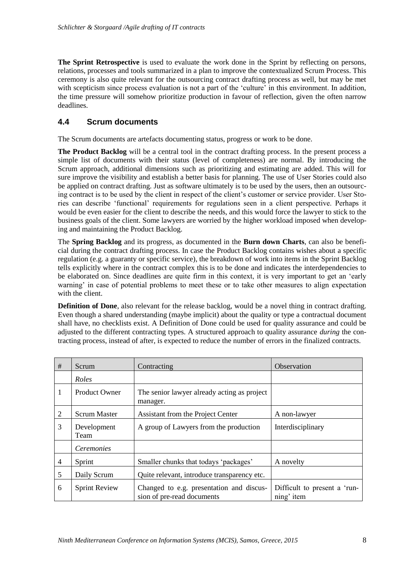**The Sprint Retrospective** is used to evaluate the work done in the Sprint by reflecting on persons, relations, processes and tools summarized in a plan to improve the contextualized Scrum Process. This ceremony is also quite relevant for the outsourcing contract drafting process as well, but may be met with scepticism since process evaluation is not a part of the 'culture' in this environment. In addition, the time pressure will somehow prioritize production in favour of reflection, given the often narrow deadlines.

#### **4.4 Scrum documents**

The Scrum documents are artefacts documenting status, progress or work to be done.

**The Product Backlog** will be a central tool in the contract drafting process. In the present process a simple list of documents with their status (level of completeness) are normal. By introducing the Scrum approach, additional dimensions such as prioritizing and estimating are added. This will for sure improve the visibility and establish a better basis for planning. The use of User Stories could also be applied on contract drafting. Just as software ultimately is to be used by the users, then an outsourcing contract is to be used by the client in respect of the client's customer or service provider. User Stories can describe 'functional' requirements for regulations seen in a client perspective. Perhaps it would be even easier for the client to describe the needs, and this would force the lawyer to stick to the business goals of the client. Some lawyers are worried by the higher workload imposed when developing and maintaining the Product Backlog.

The **Spring Backlog** and its progress, as documented in the **Burn down Charts**, can also be beneficial during the contract drafting process. In case the Product Backlog contains wishes about a specific regulation (e.g. a guaranty or specific service), the breakdown of work into items in the Sprint Backlog tells explicitly where in the contract complex this is to be done and indicates the interdependencies to be elaborated on. Since deadlines are quite firm in this context, it is very important to get an 'early warning' in case of potential problems to meet these or to take other measures to align expectation with the client.

**Definition of Done**, also relevant for the release backlog, would be a novel thing in contract drafting. Even though a shared understanding (maybe implicit) about the quality or type a contractual document shall have, no checklists exist. A Definition of Done could be used for quality assurance and could be adjusted to the different contracting types. A structured approach to quality assurance *during* the contracting process, instead of after, is expected to reduce the number of errors in the finalized contracts.

| #              | Scrum                | Contracting                                                            | Observation                                |
|----------------|----------------------|------------------------------------------------------------------------|--------------------------------------------|
|                | Roles                |                                                                        |                                            |
| 1              | <b>Product Owner</b> | The senior lawyer already acting as project<br>manager.                |                                            |
| 2              | <b>Scrum Master</b>  | Assistant from the Project Center                                      | A non-lawyer                               |
| 3              | Development<br>Team  | A group of Lawyers from the production                                 | Interdisciplinary                          |
|                | Ceremonies           |                                                                        |                                            |
| $\overline{4}$ | Sprint               | Smaller chunks that todays 'packages'                                  | A novelty                                  |
| 5              | Daily Scrum          | Quite relevant, introduce transparency etc.                            |                                            |
| 6              | <b>Sprint Review</b> | Changed to e.g. presentation and discus-<br>sion of pre-read documents | Difficult to present a 'run-<br>ning' item |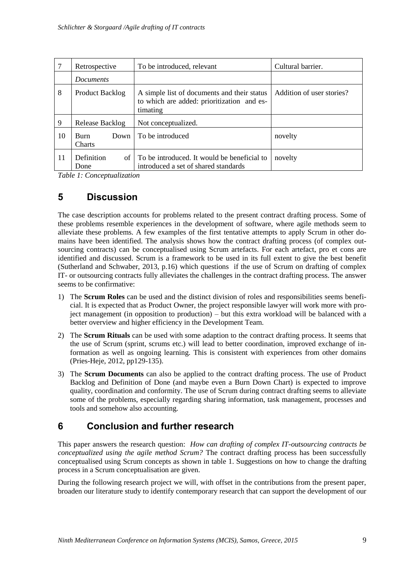|    | Retrospective                        | To be introduced, relevant                                                                            | Cultural barrier.         |
|----|--------------------------------------|-------------------------------------------------------------------------------------------------------|---------------------------|
|    | <i>Documents</i>                     |                                                                                                       |                           |
| 8  | Product Backlog                      | A simple list of documents and their status<br>to which are added: prioritization and es-<br>timating | Addition of user stories? |
| 9  | Release Backlog                      | Not conceptualized.                                                                                   |                           |
| 10 | <b>Burn</b><br>Down<br><b>Charts</b> | To be introduced                                                                                      | novelty                   |
| 11 | Definition<br>of 1<br>Done           | To be introduced. It would be beneficial to<br>introduced a set of shared standards                   | novelty                   |

*Table 1: Conceptualization*

# **5 Discussion**

The case description accounts for problems related to the present contract drafting process. Some of these problems resemble experiences in the development of software, where agile methods seem to alleviate these problems. A few examples of the first tentative attempts to apply Scrum in other domains have been identified. The analysis shows how the contract drafting process (of complex outsourcing contracts) can be conceptualised using Scrum artefacts. For each artefact, pro et cons are identified and discussed. Scrum is a framework to be used in its full extent to give the best benefit [\(Sutherland and Schwaber, 2013, p.16\)](#page-10-10) which questions if the use of Scrum on drafting of complex IT- or outsourcing contracts fully alleviates the challenges in the contract drafting process. The answer seems to be confirmative:

- 1) The **Scrum Roles** can be used and the distinct division of roles and responsibilities seems beneficial. It is expected that as Product Owner, the project responsible lawyer will work more with project management (in opposition to production) – but this extra workload will be balanced with a better overview and higher efficiency in the Development Team.
- 2) The **Scrum Rituals** can be used with some adaption to the contract drafting process. It seems that the use of Scrum (sprint, scrums etc.) will lead to better coordination, improved exchange of information as well as ongoing learning. This is consistent with experiences from other domains [\(Pries-Heje, 2012, pp129-135\)](#page-10-13).
- 3) The **Scrum Documents** can also be applied to the contract drafting process. The use of Product Backlog and Definition of Done (and maybe even a Burn Down Chart) is expected to improve quality, coordination and conformity. The use of Scrum during contract drafting seems to alleviate some of the problems, especially regarding sharing information, task management, processes and tools and somehow also accounting.

# **6 Conclusion and further research**

This paper answers the research question: *How can drafting of complex IT-outsourcing contracts be conceptualized using the agile method Scrum?* The contract drafting process has been successfully conceptualised using Scrum concepts as shown in table 1. Suggestions on how to change the drafting process in a Scrum conceptualisation are given.

During the following research project we will, with offset in the contributions from the present paper, broaden our literature study to identify contemporary research that can support the development of our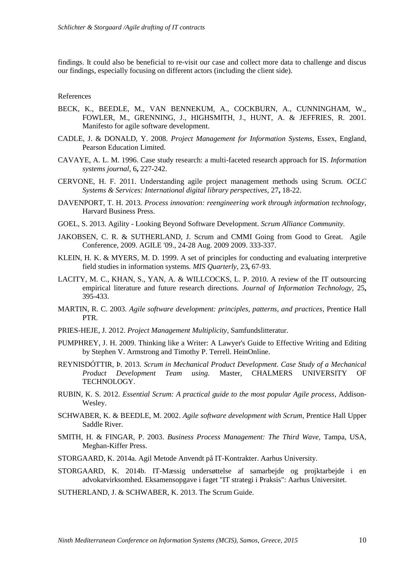findings. It could also be beneficial to re-visit our case and collect more data to challenge and discus our findings, especially focusing on different actors (including the client side).

#### References

- <span id="page-10-7"></span>BECK, K., BEEDLE, M., VAN BENNEKUM, A., COCKBURN, A., CUNNINGHAM, W., FOWLER, M., GRENNING, J., HIGHSMITH, J., HUNT, A. & JEFFRIES, R. 2001. Manifesto for agile software development.
- <span id="page-10-4"></span>CADLE, J. & DONALD, Y. 2008. *Project Management for Information Systems,* Essex, England, Pearson Education Limited.
- <span id="page-10-16"></span>CAVAYE, A. L. M. 1996. Case study research: a multi-faceted research approach for IS. *Information systems journal,* 6**,** 227-242.
- <span id="page-10-6"></span>CERVONE, H. F. 2011. Understanding agile project management methods using Scrum. *OCLC Systems & Services: International digital library perspectives,* 27**,** 18-22.
- <span id="page-10-3"></span>DAVENPORT, T. H. 2013. *Process innovation: reengineering work through information technology*, Harvard Business Press.
- <span id="page-10-14"></span>GOEL, S. 2013. Agility - Looking Beyond Software Development. *Scrum Alliance Community.*
- <span id="page-10-9"></span>JAKOBSEN, C. R. & SUTHERLAND, J. Scrum and CMMI Going from Good to Great. Agile Conference, 2009. AGILE '09., 24-28 Aug. 2009 2009. 333-337.
- <span id="page-10-17"></span>KLEIN, H. K. & MYERS, M. D. 1999. A set of principles for conducting and evaluating interpretive field studies in information systems. *MIS Quarterly,* 23**,** 67-93.
- <span id="page-10-0"></span>LACITY, M. C., KHAN, S., YAN, A. & WILLCOCKS, L. P. 2010. A review of the IT outsourcing empirical literature and future research directions. *Journal of Information Technology,* 25**,** 395-433.
- <span id="page-10-8"></span>MARTIN, R. C. 2003. *Agile software development: principles, patterns, and practices*, Prentice Hall PTR.
- <span id="page-10-13"></span>PRIES-HEJE, J. 2012. *Project Management Multiplicity*, Samfundslitteratur.
- <span id="page-10-15"></span>PUMPHREY, J. H. 2009. Thinking like a Writer: A Lawyer's Guide to Effective Writing and Editing by Stephen V. Armstrong and Timothy P. Terrell. HeinOnline.
- <span id="page-10-12"></span>REYNISDÓTTIR, Þ. 2013. *Scrum in Mechanical Product Development. Case Study of a Mechanical Product Development Team using.* Master, CHALMERS UNIVERSITY OF TECHNOLOGY.
- <span id="page-10-11"></span>RUBIN, K. S. 2012. *Essential Scrum: A practical guide to the most popular Agile process*, Addison-Wesley.
- <span id="page-10-5"></span>SCHWABER, K. & BEEDLE, M. 2002. *Agile software development with Scrum*, Prentice Hall Upper Saddle River.
- <span id="page-10-1"></span>SMITH, H. & FINGAR, P. 2003. *Business Process Management: The Third Wave,* Tampa, USA, Meghan-Kiffer Press.
- <span id="page-10-18"></span>STORGAARD, K. 2014a. Agil Metode Anvendt på IT-Kontrakter. Aarhus University.
- <span id="page-10-2"></span>STORGAARD, K. 2014b. IT-Mæssig undersøttelse af samarbejde og projktarbejde i en advokatvirksomhed. Eksamensopgave i faget "IT strategi i Praksis": Aarhus Universitet.
- <span id="page-10-10"></span>SUTHERLAND, J. & SCHWABER, K. 2013. The Scrum Guide.